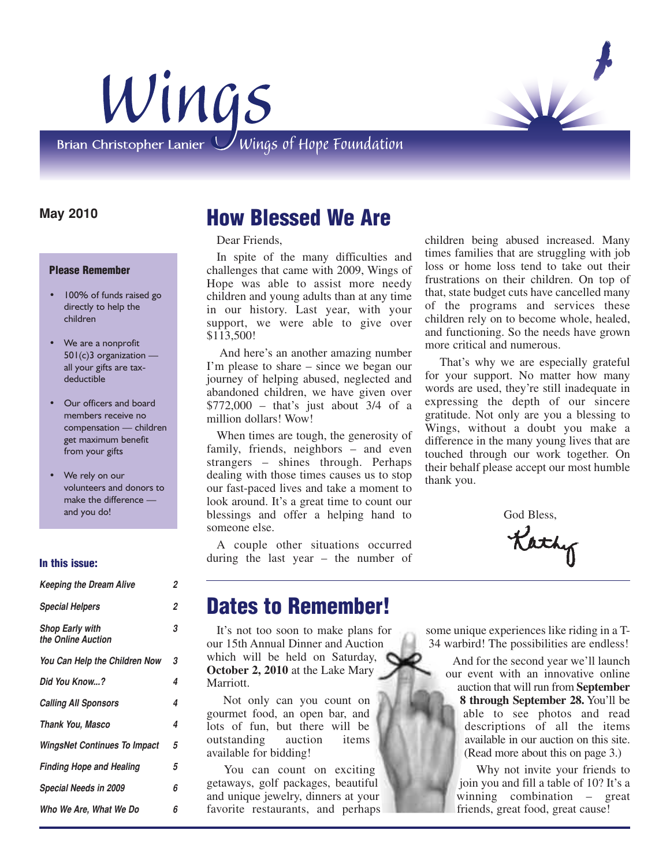



#### **May 2010**

#### **Please Remember**

- 100% of funds raised go directly to help the children
- We are a nonprofit 501(c)3 organization all your gifts are taxdeductible
- Our officers and board members receive no compensation — children get maximum benefit from your gifts
- We rely on our volunteers and donors to make the difference and you do!

#### **In this issue:**

| <b>Keeping the Dream Alive</b>               | 2 |
|----------------------------------------------|---|
| <b>Special Helpers</b>                       | 2 |
| <b>Shop Early with</b><br>the Online Auction | 3 |
| You Can Help the Children Now                | 3 |
| Did You Know?                                | 4 |
| <b>Calling All Sponsors</b>                  | 4 |
| <b>Thank You, Masco</b>                      | 4 |
| <b>WingsNet Continues To Impact</b>          | 5 |
| <b>Finding Hope and Healing</b>              | 5 |
| Special Needs in 2009                        | 6 |
| Who We Are, What We Do                       | 6 |

## **How Blessed We Are**

Dear Friends,

In spite of the many difficulties and challenges that came with 2009, Wings of Hope was able to assist more needy children and young adults than at any time in our history. Last year, with your support, we were able to give over \$113,500!

And here's an another amazing number I'm please to share – since we began our journey of helping abused, neglected and abandoned children, we have given over \$772,000 – that's just about 3/4 of a million dollars! Wow!

When times are tough, the generosity of family, friends, neighbors – and even strangers – shines through. Perhaps dealing with those times causes us to stop our fast-paced lives and take a moment to look around. It's a great time to count our blessings and offer a helping hand to someone else.

A couple other situations occurred during the last year – the number of children being abused increased. Many times families that are struggling with job loss or home loss tend to take out their frustrations on their children. On top of that, state budget cuts have cancelled many of the programs and services these children rely on to become whole, healed, and functioning. So the needs have grown more critical and numerous.

That's why we are especially grateful for your support. No matter how many words are used, they're still inadequate in expressing the depth of our sincere gratitude. Not only are you a blessing to Wings, without a doubt you make a difference in the many young lives that are touched through our work together. On their behalf please accept our most humble thank you.

God Bless,

Kathy

### **Dates to Remember!**

It's not too soon to make plans for our 15th Annual Dinner and Auction which will be held on Saturday, **October 2, 2010** at the Lake Mary Marriott.

Not only can you count on gourmet food, an open bar, and lots of fun, but there will be outstanding auction items available for bidding!

You can count on exciting getaways, golf packages, beautiful and unique jewelry, dinners at your favorite restaurants, and perhaps some unique experiences like riding in a T-34 warbird! The possibilities are endless!

> And for the second year we'll launch our event with an innovative online auction that will run from **September 8 through September 28.** You'll be able to see photos and read descriptions of all the items available in our auction on this site. (Read more about this on page 3.)

Why not invite your friends to join you and fill a table of 10? It's a winning combination – great friends, great food, great cause!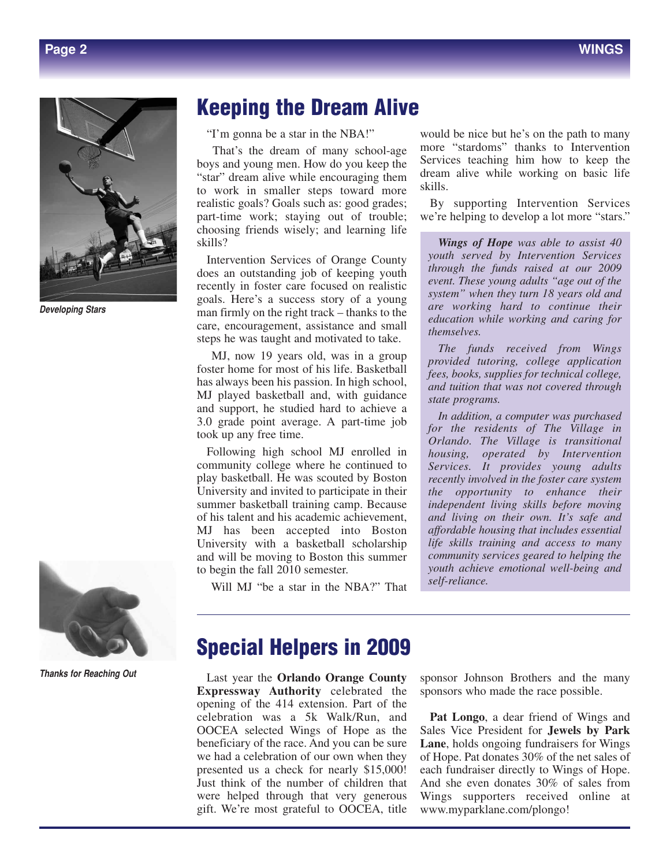

*Developing Stars*



*Thanks for Reaching Out*

### **Keeping the Dream Alive**

"I'm gonna be a star in the NBA!"

That's the dream of many school-age boys and young men. How do you keep the "star" dream alive while encouraging them to work in smaller steps toward more realistic goals? Goals such as: good grades; part-time work; staying out of trouble; choosing friends wisely; and learning life skills?

Intervention Services of Orange County does an outstanding job of keeping youth recently in foster care focused on realistic goals. Here's a success story of a young man firmly on the right track – thanks to the care, encouragement, assistance and small steps he was taught and motivated to take.

MJ, now 19 years old, was in a group foster home for most of his life. Basketball has always been his passion. In high school, MJ played basketball and, with guidance and support, he studied hard to achieve a 3.0 grade point average. A part-time job took up any free time.

Following high school MJ enrolled in community college where he continued to play basketball. He was scouted by Boston University and invited to participate in their summer basketball training camp. Because of his talent and his academic achievement, MJ has been accepted into Boston University with a basketball scholarship and will be moving to Boston this summer to begin the fall 2010 semester.

Will MJ "be a star in the NBA?" That

would be nice but he's on the path to many more "stardoms" thanks to Intervention Services teaching him how to keep the dream alive while working on basic life skills.

By supporting Intervention Services we're helping to develop a lot more "stars."

*Wings of Hope was able to assist 40 youth served by Intervention Services through the funds raised at our 2009 event. These young adults "age out of the system" when they turn 18 years old and are working hard to continue their education while working and caring for themselves.*

*The funds received from Wings provided tutoring, college application fees, books, supplies for technical college, and tuition that was not covered through state programs.* 

*In addition, a computer was purchased for the residents of The Village in Orlando. The Village is transitional housing, operated by Intervention Services. It provides young adults recently involved in the foster care system the opportunity to enhance their independent living skills before moving and living on their own. It's safe and affordable housing that includes essential life skills training and access to many community services geared to helping the youth achieve emotional well-being and self-reliance.*

### **Special Helpers in 2009**

Last year the **Orlando Orange County Expressway Authority** celebrated the opening of the 414 extension. Part of the celebration was a 5k Walk/Run, and OOCEA selected Wings of Hope as the beneficiary of the race. And you can be sure we had a celebration of our own when they presented us a check for nearly \$15,000! Just think of the number of children that were helped through that very generous gift. We're most grateful to OOCEA, title

sponsor Johnson Brothers and the many sponsors who made the race possible.

**Pat Longo**, a dear friend of Wings and Sales Vice President for **Jewels by Park Lane**, holds ongoing fundraisers for Wings of Hope. Pat donates 30% of the net sales of each fundraiser directly to Wings of Hope. And she even donates 30% of sales from Wings supporters received online at www.myparklane.com/plongo!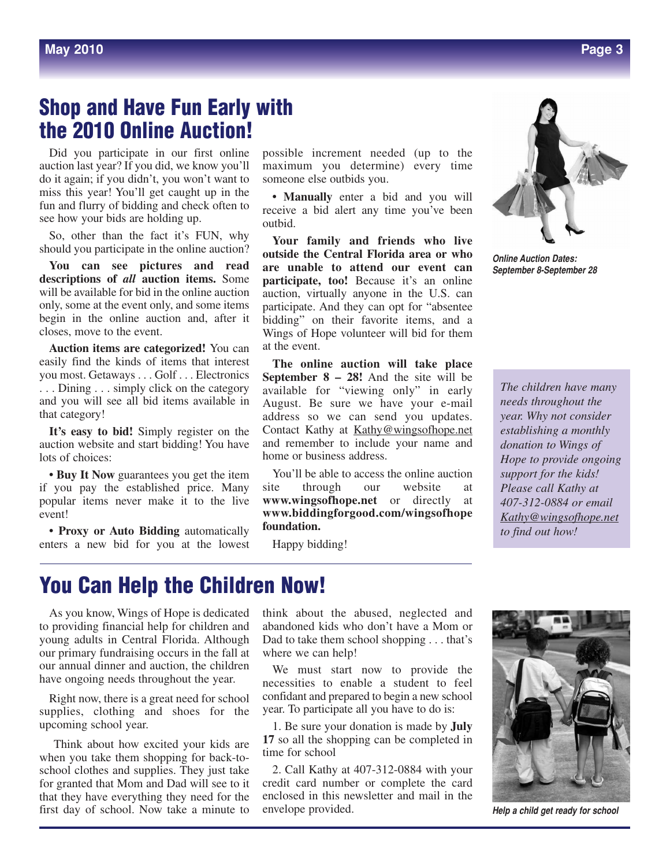## **Shop and Have Fun Early with the 2010 Online Auction!**

Did you participate in our first online auction last year? If you did, we know you'll do it again; if you didn't, you won't want to miss this year! You'll get caught up in the fun and flurry of bidding and check often to see how your bids are holding up.

So, other than the fact it's FUN, why should you participate in the online auction?

**You can see pictures and read descriptions of** *all* **auction items.** Some will be available for bid in the online auction only, some at the event only, and some items begin in the online auction and, after it closes, move to the event.

**Auction items are categorized!** You can easily find the kinds of items that interest you most. Getaways . . . Golf . . . Electronics . . . Dining . . . simply click on the category and you will see all bid items available in that category!

**It's easy to bid!** Simply register on the auction website and start bidding! You have lots of choices:

**• Buy It Now** guarantees you get the item if you pay the established price. Many popular items never make it to the live event!

**• Proxy or Auto Bidding** automatically enters a new bid for you at the lowest

possible increment needed (up to the maximum you determine) every time someone else outbids you.

**• Manually** enter a bid and you will receive a bid alert any time you've been outbid.

**Your family and friends who live outside the Central Florida area or who are unable to attend our event can participate, too!** Because it's an online auction, virtually anyone in the U.S. can participate. And they can opt for "absentee bidding" on their favorite items, and a Wings of Hope volunteer will bid for them at the event.

**The online auction will take place September 8 – 28!** And the site will be available for "viewing only" in early August. Be sure we have your e-mail address so we can send you updates. Contact Kathy at Kathy@wingsofhope.net and remember to include your name and home or business address.

You'll be able to access the online auction<br>site through our website at through our website at **www.wingsofhope.net** or directly at **www.biddingforgood.com/wingsofhope foundation.**

Happy bidding!



*Online Auction Dates: September 8-September 28*

*The children have many needs throughout the year. Why not consider establishing a monthly donation to Wings of Hope to provide ongoing support for the kids! Please call Kathy at 407-312-0884 or email Kathy@wingsofhope.net to find out how!*

## **You Can Help the Children Now!**

As you know, Wings of Hope is dedicated to providing financial help for children and young adults in Central Florida. Although our primary fundraising occurs in the fall at our annual dinner and auction, the children have ongoing needs throughout the year.

Right now, there is a great need for school supplies, clothing and shoes for the upcoming school year.

Think about how excited your kids are when you take them shopping for back-toschool clothes and supplies. They just take for granted that Mom and Dad will see to it that they have everything they need for the first day of school. Now take a minute to

think about the abused, neglected and abandoned kids who don't have a Mom or Dad to take them school shopping . . . that's where we can help!

We must start now to provide the necessities to enable a student to feel confidant and prepared to begin a new school year. To participate all you have to do is:

1. Be sure your donation is made by **July 17** so all the shopping can be completed in time for school

2. Call Kathy at 407-312-0884 with your credit card number or complete the card enclosed in this newsletter and mail in the envelope provided.



*Help a child get ready for school*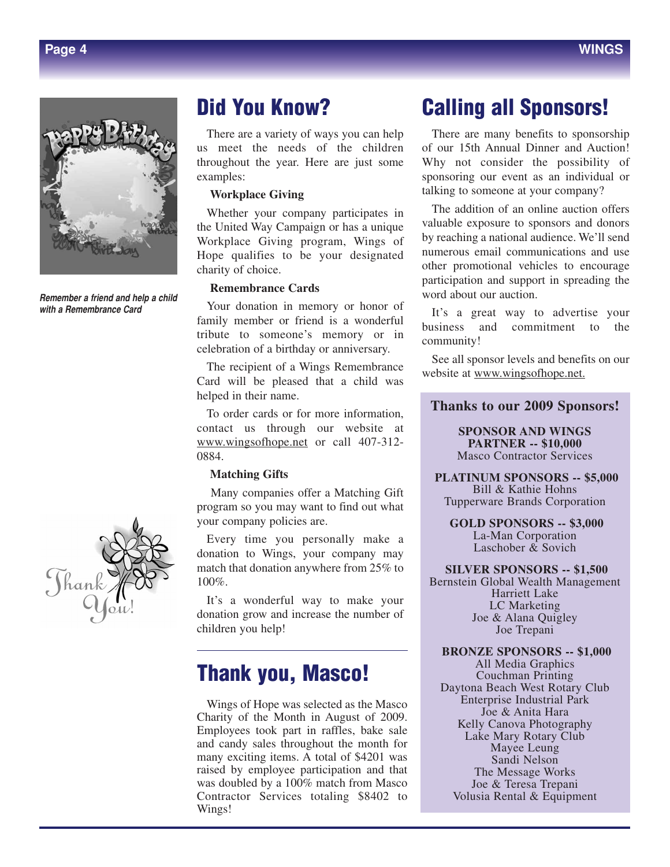

*Remember a friend and help a child with a Remembrance Card*



## **Did You Know?**

There are a variety of ways you can help us meet the needs of the children throughout the year. Here are just some examples:

#### **Workplace Giving**

Whether your company participates in the United Way Campaign or has a unique Workplace Giving program, Wings of Hope qualifies to be your designated charity of choice.

#### **Remembrance Cards**

Your donation in memory or honor of family member or friend is a wonderful tribute to someone's memory or in celebration of a birthday or anniversary.

The recipient of a Wings Remembrance Card will be pleased that a child was helped in their name.

To order cards or for more information, contact us through our website at www.wingsofhope.net or call 407-312- 0884.

#### **Matching Gifts**

Many companies offer a Matching Gift program so you may want to find out what your company policies are.

Every time you personally make a donation to Wings, your company may match that donation anywhere from 25% to 100%.

It's a wonderful way to make your donation grow and increase the number of children you help!

## **Thank you, Masco!**

Wings of Hope was selected as the Masco Charity of the Month in August of 2009. Employees took part in raffles, bake sale and candy sales throughout the month for many exciting items. A total of \$4201 was raised by employee participation and that was doubled by a 100% match from Masco Contractor Services totaling \$8402 to Wings!

## **Calling all Sponsors!**

There are many benefits to sponsorship of our 15th Annual Dinner and Auction! Why not consider the possibility of sponsoring our event as an individual or talking to someone at your company?

The addition of an online auction offers valuable exposure to sponsors and donors by reaching a national audience. We'll send numerous email communications and use other promotional vehicles to encourage participation and support in spreading the word about our auction.

It's a great way to advertise your business and commitment to the community!

See all sponsor levels and benefits on our website at www.wingsofhope.net.

**Thanks to our 2009 Sponsors!**

**SPONSOR AND WINGS PARTNER -- \$10,000** Masco Contractor Services

**PLATINUM SPONSORS -- \$5,000** Bill & Kathie Hohns Tupperware Brands Corporation

**GOLD SPONSORS -- \$3,000** La-Man Corporation Laschober & Sovich

**SILVER SPONSORS -- \$1,500** Bernstein Global Wealth Management Harriett Lake LC Marketing Joe & Alana Quigley Joe Trepani

**BRONZE SPONSORS -- \$1,000** All Media Graphics Couchman Printing Daytona Beach West Rotary Club Enterprise Industrial Park Joe & Anita Hara Kelly Canova Photography Lake Mary Rotary Club Mayee Leung Sandi Nelson The Message Works Joe & Teresa Trepani Volusia Rental & Equipment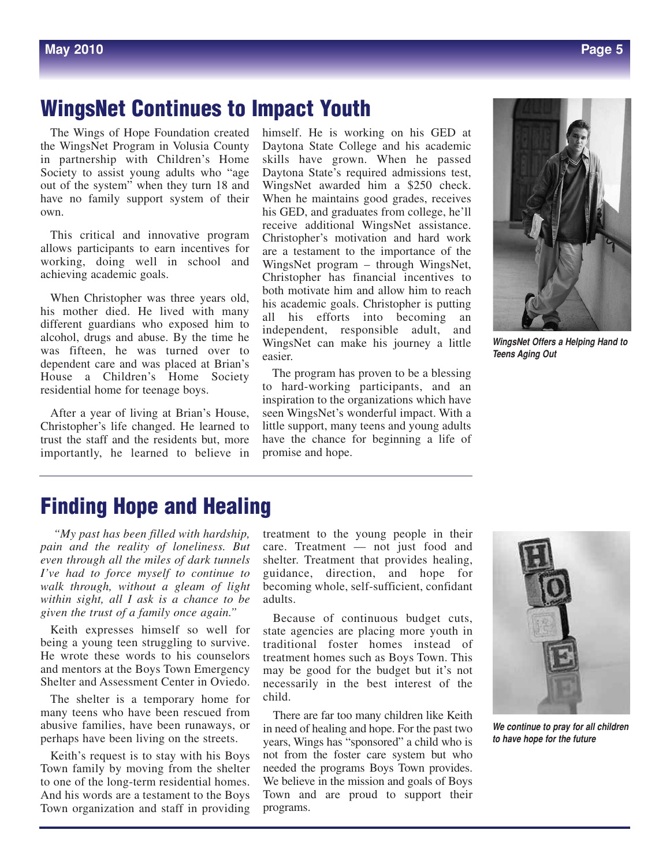# **WingsNet Continues to Impact Youth**

The Wings of Hope Foundation created the WingsNet Program in Volusia County in partnership with Children's Home Society to assist young adults who "age out of the system" when they turn 18 and have no family support system of their own.

This critical and innovative program allows participants to earn incentives for working, doing well in school and achieving academic goals.

When Christopher was three years old, his mother died. He lived with many different guardians who exposed him to alcohol, drugs and abuse. By the time he was fifteen, he was turned over to dependent care and was placed at Brian's House a Children's Home Society residential home for teenage boys.

After a year of living at Brian's House, Christopher's life changed. He learned to trust the staff and the residents but, more importantly, he learned to believe in himself. He is working on his GED at Daytona State College and his academic skills have grown. When he passed Daytona State's required admissions test, WingsNet awarded him a \$250 check. When he maintains good grades, receives his GED, and graduates from college, he'll receive additional WingsNet assistance. Christopher's motivation and hard work are a testament to the importance of the WingsNet program – through WingsNet, Christopher has financial incentives to both motivate him and allow him to reach his academic goals. Christopher is putting all his efforts into becoming an independent, responsible adult, and WingsNet can make his journey a little easier.

The program has proven to be a blessing to hard-working participants, and an inspiration to the organizations which have seen WingsNet's wonderful impact. With a little support, many teens and young adults have the chance for beginning a life of promise and hope.

*WingsNet Offers a Helping Hand to Teens Aging Out*

## **Finding Hope and Healing**

*"My past has been filled with hardship, pain and the reality of loneliness. But even through all the miles of dark tunnels I've had to force myself to continue to walk through, without a gleam of light within sight, all I ask is a chance to be given the trust of a family once again."*

Keith expresses himself so well for being a young teen struggling to survive. He wrote these words to his counselors and mentors at the Boys Town Emergency Shelter and Assessment Center in Oviedo.

The shelter is a temporary home for many teens who have been rescued from abusive families, have been runaways, or perhaps have been living on the streets.

Keith's request is to stay with his Boys Town family by moving from the shelter to one of the long-term residential homes. And his words are a testament to the Boys Town organization and staff in providing

treatment to the young people in their care. Treatment — not just food and shelter. Treatment that provides healing, guidance, direction, and hope for becoming whole, self-sufficient, confidant adults.

Because of continuous budget cuts, state agencies are placing more youth in traditional foster homes instead of treatment homes such as Boys Town. This may be good for the budget but it's not necessarily in the best interest of the child.

There are far too many children like Keith in need of healing and hope. For the past two years, Wings has "sponsored" a child who is not from the foster care system but who needed the programs Boys Town provides. We believe in the mission and goals of Boys Town and are proud to support their programs.



*We continue to pray for all children to have hope for the future*